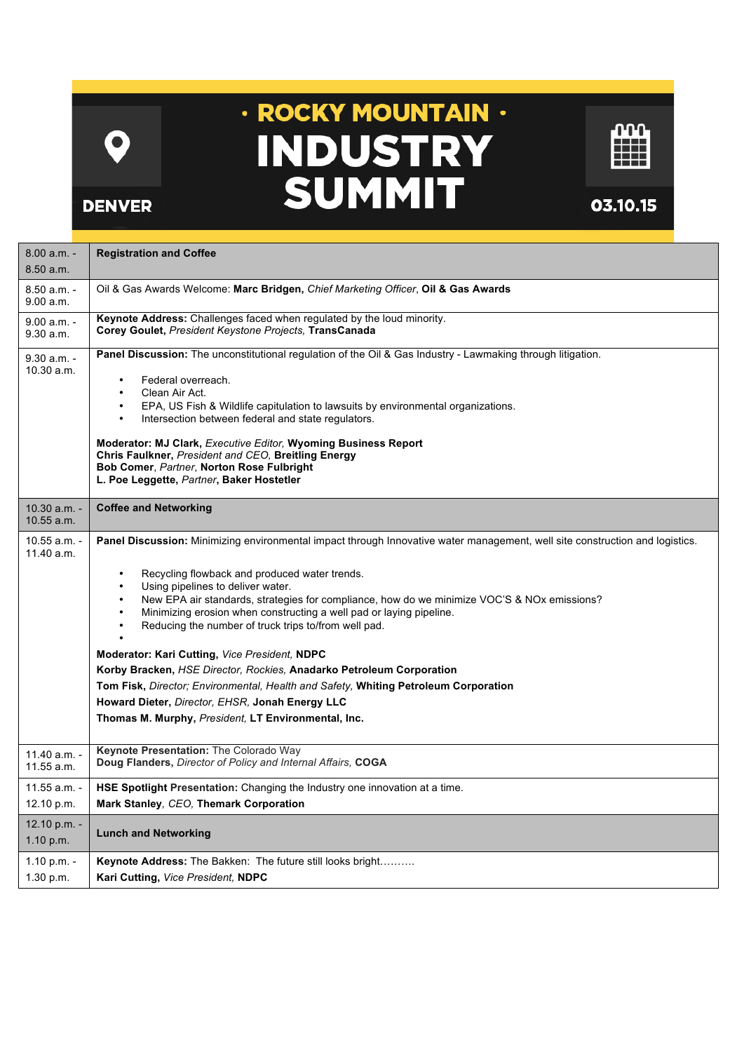$\mathbf O$ 

**DENVER** 

## · ROCKY MOUNTAIN · **INDUSTRY<br>SUMMIT**



03.10.15

| $8.00 a.m. -$<br>8.50 a.m.     | <b>Registration and Coffee</b>                                                                                                                                                                                                                                                                                                                                                                                                                                                                                                                                                                                                                                                                                                                                             |
|--------------------------------|----------------------------------------------------------------------------------------------------------------------------------------------------------------------------------------------------------------------------------------------------------------------------------------------------------------------------------------------------------------------------------------------------------------------------------------------------------------------------------------------------------------------------------------------------------------------------------------------------------------------------------------------------------------------------------------------------------------------------------------------------------------------------|
| $8.50 a.m. -$<br>9.00 a.m.     | Oil & Gas Awards Welcome: Marc Bridgen, Chief Marketing Officer, Oil & Gas Awards                                                                                                                                                                                                                                                                                                                                                                                                                                                                                                                                                                                                                                                                                          |
| $9.00 a.m. -$<br>9.30 a.m.     | Keynote Address: Challenges faced when regulated by the loud minority.<br>Corey Goulet, President Keystone Projects, TransCanada                                                                                                                                                                                                                                                                                                                                                                                                                                                                                                                                                                                                                                           |
| $9.30 a.m. -$<br>10.30 a.m.    | Panel Discussion: The unconstitutional regulation of the Oil & Gas Industry - Lawmaking through litigation.<br>Federal overreach.<br>Clean Air Act.<br>$\bullet$<br>EPA, US Fish & Wildlife capitulation to lawsuits by environmental organizations.<br>Intersection between federal and state regulators.<br>$\bullet$<br><b>Moderator: MJ Clark, Executive Editor, Wyoming Business Report</b><br>Chris Faulkner, President and CEO, Breitling Energy<br><b>Bob Comer, Partner, Norton Rose Fulbright</b><br>L. Poe Leggette, Partner, Baker Hostetler                                                                                                                                                                                                                   |
| $10.30$ a.m. -<br>$10.55$ a.m. | <b>Coffee and Networking</b>                                                                                                                                                                                                                                                                                                                                                                                                                                                                                                                                                                                                                                                                                                                                               |
| $10.55$ a.m. -<br>11.40 a.m.   | Panel Discussion: Minimizing environmental impact through Innovative water management, well site construction and logistics.<br>Recycling flowback and produced water trends.<br>Using pipelines to deliver water.<br>New EPA air standards, strategies for compliance, how do we minimize VOC'S & NOx emissions?<br>Minimizing erosion when constructing a well pad or laying pipeline.<br>Reducing the number of truck trips to/from well pad.<br>Moderator: Kari Cutting, Vice President, NDPC<br>Korby Bracken, HSE Director, Rockies, Anadarko Petroleum Corporation<br>Tom Fisk, Director; Environmental, Health and Safety, Whiting Petroleum Corporation<br>Howard Dieter, Director, EHSR, Jonah Energy LLC<br>Thomas M. Murphy, President, LT Environmental, Inc. |
| 11.40 a.m. -<br>11.55 a.m.     | <b>Keynote Presentation: The Colorado Way</b><br>Doug Flanders, Director of Policy and Internal Affairs, COGA                                                                                                                                                                                                                                                                                                                                                                                                                                                                                                                                                                                                                                                              |
| 11.55 a.m. -<br>12.10 p.m.     | <b>HSE Spotlight Presentation:</b> Changing the Industry one innovation at a time.<br>Mark Stanley, CEO, Themark Corporation                                                                                                                                                                                                                                                                                                                                                                                                                                                                                                                                                                                                                                               |
| 12.10 p.m. -<br>1.10 $p.m.$    | <b>Lunch and Networking</b>                                                                                                                                                                                                                                                                                                                                                                                                                                                                                                                                                                                                                                                                                                                                                |
| 1.10 p.m. $-$<br>1.30 p.m.     | <b>Keynote Address:</b> The Bakken: The future still looks bright<br>Kari Cutting, Vice President, NDPC                                                                                                                                                                                                                                                                                                                                                                                                                                                                                                                                                                                                                                                                    |